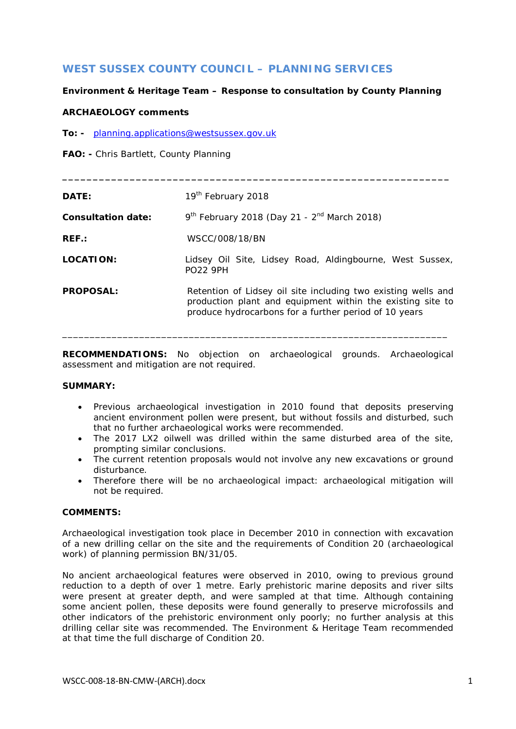# **WEST SUSSEX COUNTY COUNCIL – PLANNING SERVICES**

## **Environment & Heritage Team – Response to consultation by County Planning**

### **ARCHAEOLOGY comments**

**To: -** [planning.applications@westsussex.gov.uk](mailto:planning.applications@westsussex.gov.uk)

**FAO: -** Chris Bartlett, County Planning

| DATE:                     | 19 <sup>th</sup> February 2018                                                                                                                                                       |
|---------------------------|--------------------------------------------------------------------------------------------------------------------------------------------------------------------------------------|
| <b>Consultation date:</b> | $9^{th}$ February 2018 (Day 21 - $2^{nd}$ March 2018)                                                                                                                                |
| $REF$ :                   | WSCC/008/18/BN                                                                                                                                                                       |
| LOCATION:                 | Lidsey Oil Site, Lidsey Road, Aldingbourne, West Sussex,<br><b>PO22 9PH</b>                                                                                                          |
| <b>PROPOSAL:</b>          | Retention of Lidsey oil site including two existing wells and<br>production plant and equipment within the existing site to<br>produce hydrocarbons for a further period of 10 years |

**\_\_\_\_\_\_\_\_\_\_\_\_\_\_\_\_\_\_\_\_\_\_\_\_\_\_\_\_\_\_\_\_\_\_\_\_\_\_\_\_\_\_\_\_\_\_\_\_\_\_\_\_\_\_\_\_\_\_\_\_\_\_\_**

**RECOMMENDATIONS:** No objection on archaeological grounds. Archaeological assessment and mitigation are not required.

\_\_\_\_\_\_\_\_\_\_\_\_\_\_\_\_\_\_\_\_\_\_\_\_\_\_\_\_\_\_\_\_\_\_\_\_\_\_\_\_\_\_\_\_\_\_\_\_\_\_\_\_\_\_\_\_\_\_\_\_\_\_\_\_\_\_\_\_\_\_

### **SUMMARY:**

- Previous archaeological investigation in 2010 found that deposits preserving ancient environment pollen were present, but without fossils and disturbed, such that no further archaeological works were recommended.
- The 2017 LX2 oilwell was drilled within the same disturbed area of the site, prompting similar conclusions.
- The current retention proposals would not involve any new excavations or ground disturbance.
- Therefore there will be no archaeological impact: archaeological mitigation will not be required.

#### **COMMENTS:**

Archaeological investigation took place in December 2010 in connection with excavation of a new drilling cellar on the site and the requirements of Condition 20 (archaeological work) of planning permission BN/31/05.

No ancient archaeological features were observed in 2010, owing to previous ground reduction to a depth of over 1 metre. Early prehistoric marine deposits and river silts were present at greater depth, and were sampled at that time. Although containing some ancient pollen, these deposits were found generally to preserve microfossils and other indicators of the prehistoric environment only poorly; no further analysis at this drilling cellar site was recommended. The Environment & Heritage Team recommended at that time the full discharge of Condition 20.